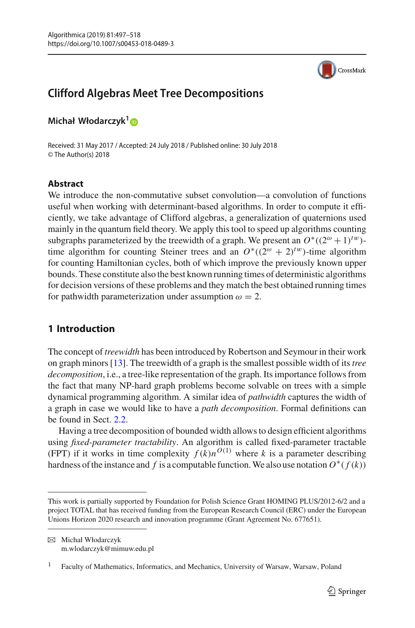

# **Clifford Algebras Meet Tree Decompositions**

**Michał Włodarczyk[1](http://orcid.org/0000-0003-0968-8414)**

Received: 31 May 2017 / Accepted: 24 July 2018 / Published online: 30 July 2018 © The Author(s) 2018

## **Abstract**

We introduce the non-commutative subset convolution—a convolution of functions useful when working with determinant-based algorithms. In order to compute it efficiently, we take advantage of Clifford algebras, a generalization of quaternions used mainly in the quantum field theory. We apply this tool to speed up algorithms counting subgraphs parameterized by the treewidth of a graph. We present an  $O^*((2^{\omega} + 1)^{tw})$ time algorithm for counting Steiner trees and an  $O^*(2^{\omega} + 2)^{tw}$ -time algorithm for counting Hamiltonian cycles, both of which improve the previously known upper bounds. These constitute also the best known running times of deterministic algorithms for decision versions of these problems and they match the best obtained running times for pathwidth parameterization under assumption  $\omega = 2$ .

## <span id="page-0-0"></span>**1 Introduction**

The concept of *treewidth* has been introduced by Robertson and Seymour in their work on graph minors [\[13\]](#page-21-0). The treewidth of a graph is the smallest possible width of its*tree decomposition*, i.e., a tree-like representation of the graph. Its importance follows from the fact that many NP-hard graph problems become solvable on trees with a simple dynamical programming algorithm. A similar idea of *pathwidth* captures the width of a graph in case we would like to have a *path decomposition*. Formal definitions can be found in Sect. [2.2.](#page-4-0)

Having a tree decomposition of bounded width allows to design efficient algorithms using *fixed-parameter tractability*. An algorithm is called fixed-parameter tractable (FPT) if it works in time complexity  $f(k)n^{O(1)}$  where *k* is a parameter describing hardness of the instance and *f* is a computable function. We also use notation  $O^*(f(k))$ 

This work is partially supported by Foundation for Polish Science Grant HOMING PLUS/2012-6/2 and a project TOTAL that has received funding from the European Research Council (ERC) under the European Unions Horizon 2020 research and innovation programme (Grant Agreement No. 677651).

B Michał Włodarczyk m.wlodarczyk@mimuw.edu.pl

<sup>&</sup>lt;sup>1</sup> Faculty of Mathematics, Informatics, and Mechanics, University of Warsaw, Warsaw, Poland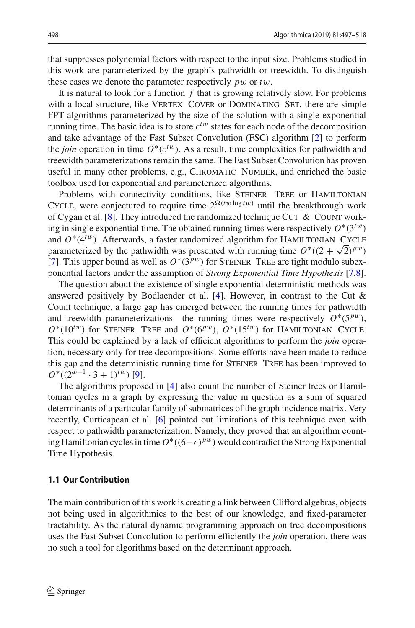that suppresses polynomial factors with respect to the input size. Problems studied in this work are parameterized by the graph's pathwidth or treewidth. To distinguish these cases we denote the parameter respectively *p*w or *t*w.

It is natural to look for a function *f* that is growing relatively slow. For problems with a local structure, like VERTEX COVER or DOMINATING SET, there are simple FPT algorithms parameterized by the size of the solution with a single exponential running time. The basic idea is to store  $c^{tw}$  states for each node of the decomposition and take advantage of the Fast Subset Convolution (FSC) algorithm [\[2](#page-20-0)] to perform the *join* operation in time  $O<sup>*</sup>(c<sup>tw</sup>)$ . As a result, time complexities for pathwidth and treewidth parameterizations remain the same. The Fast Subset Convolution has proven useful in many other problems, e.g., Chromatic Number, and enriched the basic toolbox used for exponential and parameterized algorithms.

Problems with connectivity conditions, like STEINER TREE or HAMILTONIAN CYCLE, were conjectured to require time  $2^{\Omega(tw \log tw)}$  until the breakthrough work of Cygan et al. [\[8\]](#page-21-1). They introduced the randomized technique CUT & COUNT working in single exponential time. The obtained running times were respectively  $O<sup>*</sup>(3<sup>tw</sup>)$ and  $O^*(4^{tw})$ . Afterwards, a faster randomized algorithm for HAMILTONIAN CYCLE parameterized by the pathwidth was presented with running time  $O^*((2 + \sqrt{2})^{pw})$ [\[7](#page-21-2)]. This upper bound as well as  $O^*(3^{pw})$  for STEINER TREE are tight modulo subexponential factors under the assumption of *Strong Exponential Time Hypothesis* [\[7](#page-21-2)[,8](#page-21-1)].

The question about the existence of single exponential deterministic methods was answered positively by Bodlaender et al.  $[4]$ . However, in contrast to the Cut & Count technique, a large gap has emerged between the running times for pathwidth and treewidth parameterizations—the running times were respectively  $O<sup>*</sup>(5<sup>pw</sup>)$ ,  $O^*(10^{tw})$  for STEINER TREE and  $O^*(6^{pw})$ ,  $O^*(15^{tw})$  for HAMILTONIAN CYCLE. This could be explained by a lack of efficient algorithms to perform the *join* operation, necessary only for tree decompositions. Some efforts have been made to reduce this gap and the deterministic running time for STEINER TREE has been improved to  $O^*(2^{\omega-1} \cdot 3 + 1)^{tw}$  [\[9](#page-21-4)].

The algorithms proposed in [\[4\]](#page-21-3) also count the number of Steiner trees or Hamiltonian cycles in a graph by expressing the value in question as a sum of squared determinants of a particular family of submatrices of the graph incidence matrix. Very recently, Curticapean et al. [\[6\]](#page-21-5) pointed out limitations of this technique even with respect to pathwidth parameterization. Namely, they proved that an algorithm counting Hamiltonian cycles in time  $O^*((6-\epsilon)^{pw})$  would contradict the Strong Exponential Time Hypothesis.

#### **1.1 Our Contribution**

The main contribution of this work is creating a link between Clifford algebras, objects not being used in algorithmics to the best of our knowledge, and fixed-parameter tractability. As the natural dynamic programming approach on tree decompositions uses the Fast Subset Convolution to perform efficiently the *join* operation, there was no such a tool for algorithms based on the determinant approach.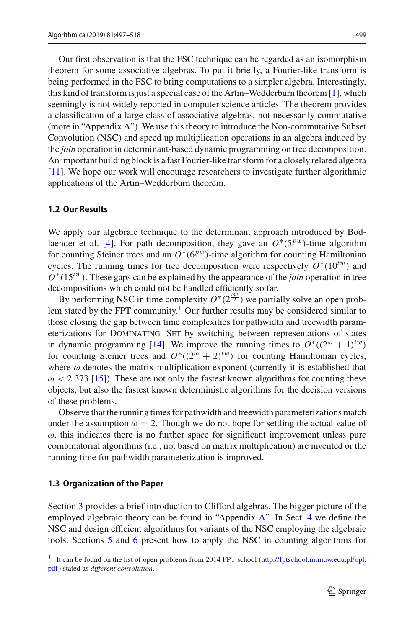Our first observation is that the FSC technique can be regarded as an isomorphism theorem for some associative algebras. To put it briefly, a Fourier-like transform is being performed in the FSC to bring computations to a simpler algebra. Interestingly, this kind of transform is just a special case of the Artin–Wedderburn theorem [\[1](#page-20-1)], which seemingly is not widely reported in computer science articles. The theorem provides

a classification of a large class of associative algebras, not necessarily commutative (more in "Appendix [A"](#page-0-0)). We use this theory to introduce the Non-commutative Subset Convolution (NSC) and speed up multiplication operations in an algebra induced by the *join* operation in determinant-based dynamic programming on tree decomposition. An important building block is a fast Fourier-like transform for a closely related algebra [\[11](#page-21-6)]. We hope our work will encourage researchers to investigate further algorithmic applications of the Artin–Wedderburn theorem.

#### **1.2 Our Results**

We apply our algebraic technique to the determinant approach introduced by Bod-laender et al. [\[4](#page-21-3)]. For path decomposition, they gave an  $O<sup>*</sup>(5<sup>pw</sup>)$ -time algorithm for counting Steiner trees and an  $O<sup>*</sup>(6<sup>pw</sup>)$ -time algorithm for counting Hamiltonian cycles. The running times for tree decomposition were respectively  $O^*(10^{tw})$  and *O*∗(15*<sup>t</sup>*w). These gaps can be explained by the appearance of the *join* operation in tree decompositions which could not be handled efficiently so far.

By performing NSC in time complexity  $O^*(2^{\frac{\omega n}{2}})$  we partially solve an open problem stated by the FPT community.<sup>1</sup> Our further results may be considered similar to those closing the gap between time complexities for pathwidth and treewidth parameterizations for Dominating Set by switching between representations of states in dynamic programming [\[14](#page-21-7)]. We improve the running times to  $O^*((2^{\omega} + 1)^{tw})$ for counting Steiner trees and  $O^*(2^{\omega} + 2)^{tw}$  for counting Hamiltonian cycles, where  $\omega$  denotes the matrix multiplication exponent (currently it is established that  $\omega$  < 2.373 [\[15\]](#page-21-8)). These are not only the fastest known algorithms for counting these objects, but also the fastest known deterministic algorithms for the decision versions of these problems.

Observe that the running times for pathwidth and treewidth parameterizations match under the assumption  $\omega = 2$ . Though we do not hope for settling the actual value of  $\omega$ , this indicates there is no further space for significant improvement unless pure combinatorial algorithms (i.e., not based on matrix multiplication) are invented or the running time for pathwidth parameterization is improved.

#### **1.3 Organization of the Paper**

Section [3](#page-5-0) provides a brief introduction to Clifford algebras. The bigger picture of the employed algebraic theory can be found in "Appendix [A"](#page-0-0). In Sect. [4](#page-6-0) we define the NSC and design efficient algorithms for variants of the NSC employing the algebraic tools. Sections [5](#page-8-0) and [6](#page-10-0) present how to apply the NSC in counting algorithms for

<span id="page-2-0"></span><sup>1</sup> It can be found on the list of open problems from 2014 FPT school [\(http://fptschool.mimuw.edu.pl/opl.](http://fptschool.mimuw.edu.pl/opl.pdf) [pdf\)](http://fptschool.mimuw.edu.pl/opl.pdf) stated as *different convolution*.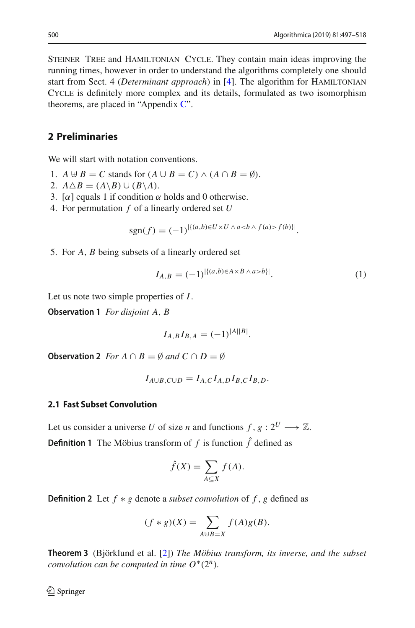STEINER TREE and HAMILTONIAN CYCLE. They contain main ideas improving the running times, however in order to understand the algorithms completely one should start from Sect. 4 (*Determinant approach*) in [\[4](#page-21-3)]. The algorithm for HAMILTONIAN Cycle is definitely more complex and its details, formulated as two isomorphism theorems, are placed in "Appendix  $\mathbb{C}$ ".

## <span id="page-3-1"></span>**2 Preliminaries**

We will start with notation conventions.

- 1.  $A \oplus B = C$  stands for  $(A \cup B = C) \wedge (A \cap B = \emptyset)$ .
- 2.  $A \triangle B = (A \setminus B) \cup (B \setminus A).$
- 3. [ $\alpha$ ] equals 1 if condition  $\alpha$  holds and 0 otherwise.
- 4. For permutation *f* of a linearly ordered set *U*

$$
sgn(f) = (-1)^{|\{(a,b)\in U\times U\wedge af(b)\}|}.
$$

5. For *A*, *B* being subsets of a linearly ordered set

<span id="page-3-4"></span><span id="page-3-0"></span>
$$
I_{A,B} = (-1)^{\left|\{(a,b)\in A\times B \land a>b\}\right|}.\tag{1}
$$

Let us note two simple properties of *I*.

**Observation 1** *For disjoint A*, *B*

$$
I_{A,B}I_{B,A}=(-1)^{|A||B|}.
$$

<span id="page-3-2"></span>**Observation 2** *For*  $A \cap B = \emptyset$  *and*  $C \cap D = \emptyset$ 

$$
I_{A\cup B,C\cup D}=I_{A,C}I_{A,D}I_{B,C}I_{B,D}.
$$

#### **2.1 Fast Subset Convolution**

Let us consider a universe *U* of size *n* and functions  $f, g: 2^U \longrightarrow \mathbb{Z}$ .

**Definition 1** The Möbius transform of  $f$  is function  $\hat{f}$  defined as

$$
\hat{f}(X) = \sum_{A \subseteq X} f(A).
$$

**Definition 2** Let *f* ∗ *g* denote a *subset convolution* of *f* , *g* defined as

$$
(f * g)(X) = \sum_{A \uplus B = X} f(A)g(B).
$$

<span id="page-3-3"></span>**Theorem 3** (Björklund et al. [\[2](#page-20-0)]) *The Möbius transform, its inverse, and the subset convolution can be computed in time*  $O^*(2^n)$ *.*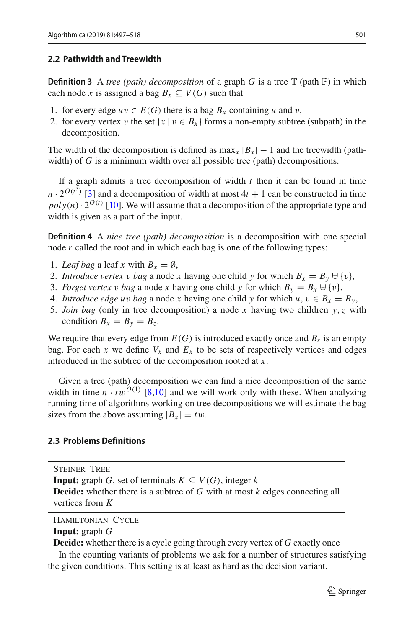#### <span id="page-4-0"></span>**2.2 Pathwidth and Treewidth**

**Definition 3** A *tree (path) decomposition* of a graph *G* is a tree  $\mathbb{T}$  (path  $\mathbb{P}$ ) in which each node x is assigned a bag  $B_r \subseteq V(G)$  such that

- 1. for every edge  $uv \in E(G)$  there is a bag  $B_x$  containing *u* and *v*,
- 2. for every vertex v the set  $\{x \mid v \in B_x\}$  forms a non-empty subtree (subpath) in the decomposition.

The width of the decomposition is defined as max<sub>x</sub>  $|B_x| - 1$  and the treewidth (pathwidth) of *G* is a minimum width over all possible tree (path) decompositions.

If a graph admits a tree decomposition of width *t* then it can be found in time  $n \cdot 2^{O(t^3)}$  [\[3\]](#page-21-9) and a decomposition of width at most  $4t + 1$  can be constructed in time  $poly(n) \cdot 2^{O(t)}$  [\[10](#page-21-10)]. We will assume that a decomposition of the appropriate type and width is given as a part of the input.

**Definition 4** A *nice tree (path) decomposition* is a decomposition with one special node *r* called the root and in which each bag is one of the following types:

- 1. *Leaf bag* a leaf x with  $B_x = \emptyset$ ,
- 2. *Introduce vertex* v *bag* a node x having one child y for which  $B_x = B_y \oplus \{v\}$ ,
- 3. *Forget vertex* v *bag* a node x having one child y for which  $B_y = B_x \oplus \{v\}$ ,
- 4. *Introduce edge uv bag* a node *x* having one child *y* for which  $u, v \in B_x = B_y$ ,
- 5. *Join bag* (only in tree decomposition) a node *x* having two children *y*,*z* with condition  $B_x = B_y = B_z$ .

We require that every edge from  $E(G)$  is introduced exactly once and  $B_r$  is an empty bag. For each *x* we define  $V_x$  and  $E_x$  to be sets of respectively vertices and edges introduced in the subtree of the decomposition rooted at *x*.

Given a tree (path) decomposition we can find a nice decomposition of the same width in time  $n \cdot tw^{O(1)}$  [\[8](#page-21-1)[,10\]](#page-21-10) and we will work only with these. When analyzing running time of algorithms working on tree decompositions we will estimate the bag sizes from the above assuming  $|B_x| = tw$ .

#### **2.3 Problems Definitions**

Steiner Tree **Input:** graph *G*, set of terminals  $K \subseteq V(G)$ , integer *k* **Decide:** whether there is a subtree of *G* with at most *k* edges connecting all vertices from *K*

Hamiltonian Cycle

**Input:** graph *G*

**Decide:** whether there is a cycle going through every vertex of *G* exactly once

In the counting variants of problems we ask for a number of structures satisfying the given conditions. This setting is at least as hard as the decision variant.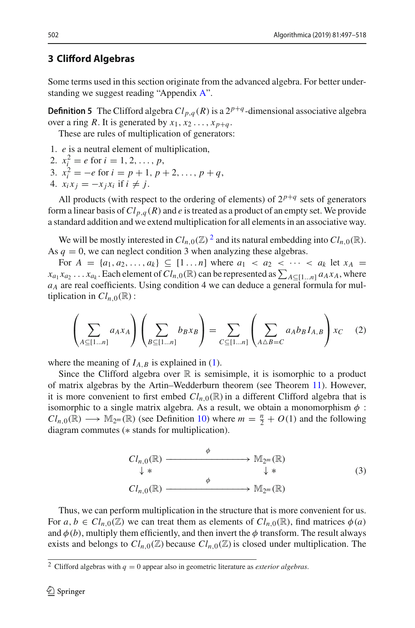### <span id="page-5-0"></span>**3 Clifford Algebras**

Some terms used in this section originate from the advanced algebra. For better understanding we suggest reading "Appendix [A"](#page-0-0).

**Definition 5** The Clifford algebra  $Cl_{p,q}(R)$  is a  $2^{p+q}$ -dimensional associative algebra over a ring *R*. It is generated by  $x_1, x_2, \ldots, x_{p+q}$ .

These are rules of multiplication of generators:

- 1. *e* is a neutral element of multiplication,
- 2.  $x_i^2 = e$  for  $i = 1, 2, ..., p$ ,
- 3.  $x_i^2 = -e$  for  $i = p + 1, p + 2, \ldots, p + q$ ,
- 4.  $x_i x_j = -x_j x_i$  if  $i \neq j$ .

All products (with respect to the ordering of elements) of  $2^{p+q}$  sets of generators form a linear basis of  $Cl_{p,q}(R)$  and *e* is treated as a product of an empty set. We provide a standard addition and we extend multiplication for all elements in an associative way.

We will be mostly interested in  $Cl_{n,0}(\mathbb{Z})^2$  $Cl_{n,0}(\mathbb{Z})^2$  and its natural embedding into  $Cl_{n,0}(\mathbb{R})$ . As  $q = 0$ , we can neglect condition 3 when analyzing these algebras.

For  $A = \{a_1, a_2, ..., a_k\} \subseteq [1 \dots n]$  where  $a_1 < a_2 < ... < a_k$  let  $x_A =$  $x_{a_1} x_{a_2} \ldots x_{a_k}$ . Each element of  $Cl_{n,0}(\mathbb{R})$  can be represented as  $\sum_{A \subseteq [1...n]} a_A x_A$ , where *aA* are real coefficients. Using condition 4 we can deduce a general formula for multiplication in  $Cl_{n,0}(\mathbb{R})$ :

<span id="page-5-2"></span>
$$
\left(\sum_{A \subseteq [1...n]} a_A x_A \right) \left(\sum_{B \subseteq [1...n]} b_B x_B \right) = \sum_{C \subseteq [1...n]} \left(\sum_{A \triangle B = C} a_A b_B I_{A,B} \right) x_C \quad (2)
$$

where the meaning of  $I_{A,B}$  is explained in [\(1\)](#page-3-0).

Since the Clifford algebra over  $\mathbb R$  is semisimple, it is isomorphic to a product of matrix algebras by the Artin–Wedderburn theorem (see Theorem [11\)](#page-14-0). However, it is more convenient to first embed  $Cl_{n,0}(\mathbb{R})$  in a different Clifford algebra that is isomorphic to a single matrix algebra. As a result, we obtain a monomorphism  $\phi$ :  $Cl_{n,0}(\mathbb{R}) \longrightarrow \mathbb{M}_{2^m}(\mathbb{R})$  (see Definition [10\)](#page-13-0) where  $m = \frac{n}{2} + O(1)$  and the following diagram commutes (∗ stands for multiplication).

<span id="page-5-3"></span>
$$
Cl_{n,0}(\mathbb{R}) \xrightarrow{\phi} \mathbb{M}_{2^m}(\mathbb{R})
$$
  
\n
$$
\downarrow * \qquad \qquad \downarrow * \qquad \qquad (3)
$$
  
\n
$$
Cl_{n,0}(\mathbb{R}) \xrightarrow{\phi} \mathbb{M}_{2^m}(\mathbb{R})
$$

Thus, we can perform multiplication in the structure that is more convenient for us. For  $a, b \in Cl_{n,0}(\mathbb{Z})$  we can treat them as elements of  $Cl_{n,0}(\mathbb{R})$ , find matrices  $\phi(a)$ and  $\phi(b)$ , multiply them efficiently, and then invert the  $\phi$  transform. The result always exists and belongs to  $Cl_{n,0}(\mathbb{Z})$  because  $Cl_{n,0}(\mathbb{Z})$  is closed under multiplication. The

<span id="page-5-1"></span><sup>&</sup>lt;sup>2</sup> Clifford algebras with  $q = 0$  appear also in geometric literature as *exterior algebras*.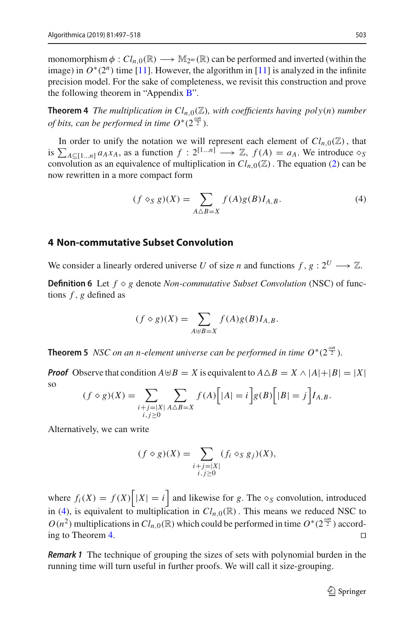monomorphism  $\phi: Cl_{n,0}(\mathbb{R}) \longrightarrow M_{2^m}(\mathbb{R})$  can be performed and inverted (within the image) in  $O^*(2^n)$  time [\[11](#page-21-6)]. However, the algorithm in [11] is analyzed in the infinite precision model. For the sake of completeness, we revisit this construction and prove the following theorem in "Appendix [B"](#page-3-1).

**Theorem 4** *The multiplication in*  $Cl_{n,0}(\mathbb{Z})$ *, with coefficients having poly(n) number of bits, can be performed in time*  $O^*(2^{\frac{\omega n}{2}})$ *.* 

In order to unify the notation we will represent each element of  $Cl_{n,0}(\mathbb{Z})$ , that is  $\sum_{A \subseteq [1...n]} a_A x_A$ , as a function  $f : 2^{[1...n]} \longrightarrow \mathbb{Z}$ ,  $f(A) = a_A$ . We introduce  $\diamondsuit$ convolution as an equivalence of multiplication in  $Cl_{n,0}(\mathbb{Z})$ . The equation [\(2\)](#page-5-2) can be now rewritten in a more compact form

<span id="page-6-2"></span><span id="page-6-1"></span>
$$
(f \diamond_S g)(X) = \sum_{A \triangle B = X} f(A)g(B)I_{A,B}.
$$
 (4)

## <span id="page-6-0"></span>**4 Non-commutative Subset Convolution**

We consider a linearly ordered universe *U* of size *n* and functions  $f, g: 2^U \longrightarrow \mathbb{Z}$ .

**Definition 6** Let  $f \diamond g$  denote *Non-commutative Subset Convolution* (NSC) of functions *f* , *g* defined as

$$
(f \diamond g)(X) = \sum_{A \uplus B = X} f(A)g(B)I_{A,B}.
$$

<span id="page-6-3"></span>**Theorem 5** *NSC on an n-element universe can be performed in time*  $O^*(2^{\frac{\omega n}{2}})$ *.* 

*Proof* Observe that condition  $A \oplus B = X$  is equivalent to  $A \triangle B = X \wedge |A| + |B| = |X|$ so

$$
(f \diamond g)(X) = \sum_{\substack{i+j=|X| \\ i,j \ge 0}} \sum_{A \triangle B = X} f(A) \Big[ |A| = i \Big] g(B) \Big[ |B| = j \Big] I_{A,B}.
$$

Alternatively, we can write

$$
(f \diamond g)(X) = \sum_{\substack{i+j=|X| \\ i,j \ge 0}} (f_i \diamond_S g_j)(X),
$$

where  $f_i(X) = f(X) \mid |X| = i$  and likewise for *g*. The  $\diamond_S$  convolution, introduced in [\(4\)](#page-6-1), is equivalent to multiplication in  $Cl_{n,0}(\mathbb{R})$ . This means we reduced NSC to  $O(n^2)$  multiplications in  $Cl_{n,0}(\mathbb{R})$  which could be performed in time  $O^*(2^{\frac{\omega n}{2}})$  according to Theorem [4.](#page-6-2)

<span id="page-6-4"></span>*Remark 1* The technique of grouping the sizes of sets with polynomial burden in the running time will turn useful in further proofs. We will call it size-grouping.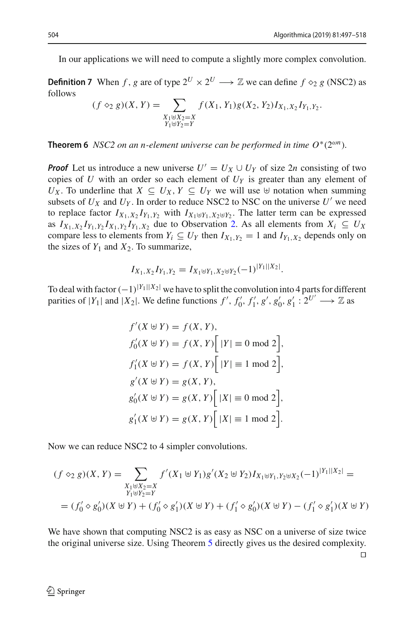In our applications we will need to compute a slightly more complex convolution.

**Definition 7** When *f*, *g* are of type  $2^U \times 2^U \longrightarrow \mathbb{Z}$  we can define  $f \diamond_2 g$  (NSC2) as follows

$$
(f \diamond_2 g)(X, Y) = \sum_{\substack{X_1 \uplus X_2 = X \\ Y_1 \uplus Y_2 = Y}} f(X_1, Y_1) g(X_2, Y_2) I_{X_1, X_2} I_{Y_1, Y_2}.
$$

<span id="page-7-0"></span>**Theorem 6** *NSC2 on an n-element universe can be performed in time*  $O^*(2^{\omega n})$ *.* 

*Proof* Let us introduce a new universe  $U' = U_X \cup U_Y$  of size 2*n* consisting of two copies of *U* with an order so each element of  $U<sub>Y</sub>$  is greater than any element of *U<sub>X</sub>*. To underline that *X* ⊆ *U<sub>X</sub>*, *Y* ⊆ *U<sub>Y</sub>* we will use  $\forall$  notation when summing subsets of  $U_X$  and  $U_Y$ . In order to reduce NSC2 to NSC on the universe  $U'$  we need to replace factor  $I_{X_1, X_2}I_{Y_1, Y_2}$  with  $I_{X_1 \uplus Y_1, X_2 \uplus Y_2}$ . The latter term can be expressed as  $I_{X_1,X_2}I_{Y_1,Y_2}I_{X_1,Y_2}I_{Y_1,X_2}$  due to Observation [2.](#page-3-2) As all elements from  $X_i \subseteq U_X$ compare less to elements from  $Y_i \subseteq U_Y$  then  $I_{X_1, Y_2} = 1$  and  $I_{Y_1, X_2}$  depends only on the sizes of  $Y_1$  and  $X_2$ . To summarize,

$$
I_{X_1, X_2} I_{Y_1, Y_2} = I_{X_1 \oplus Y_1, X_2 \oplus Y_2}(-1)^{|Y_1||X_2|}.
$$

To deal with factor  $(-1)^{|Y_1||X_2|}$  we have to split the convolution into 4 parts for different parities of  $|Y_1|$  and  $|X_2|$ . We define functions  $f'$ ,  $f'_0$ ,  $f'_1$ ,  $g'$ ,  $g'_0$ ,  $g'_1$  :  $2^{U'} \longrightarrow \mathbb{Z}$  as

$$
f'(X \oplus Y) = f(X, Y),
$$
  
\n
$$
f'_0(X \oplus Y) = f(X, Y) [ |Y| \equiv 0 \mod 2],
$$
  
\n
$$
f'_1(X \oplus Y) = f(X, Y) [ |Y| \equiv 1 \mod 2],
$$
  
\n
$$
g'(X \oplus Y) = g(X, Y),
$$
  
\n
$$
g'_0(X \oplus Y) = g(X, Y) [ |X| \equiv 0 \mod 2],
$$
  
\n
$$
g'_1(X \oplus Y) = g(X, Y) [ |X| \equiv 1 \mod 2].
$$

Now we can reduce NSC2 to 4 simpler convolutions.

$$
(f \diamond_2 g)(X, Y) = \sum_{\substack{X_1 \uplus X_2 = X \\ Y_1 \uplus Y_2 = Y}} f'(X_1 \uplus Y_1) g'(X_2 \uplus Y_2) I_{X_1 \uplus Y_1, Y_2 \uplus X_2}(-1)^{|Y_1||X_2|} =
$$
  
=  $(f'_0 \diamond g'_0)(X \uplus Y) + (f'_0 \diamond g'_1)(X \uplus Y) + (f'_1 \diamond g'_0)(X \uplus Y) - (f'_1 \diamond g'_1)(X \uplus Y)$ 

We have shown that computing NSC2 is as easy as NSC on a universe of size twice the original universe size. Using Theorem [5](#page-6-3) directly gives us the desired complexity.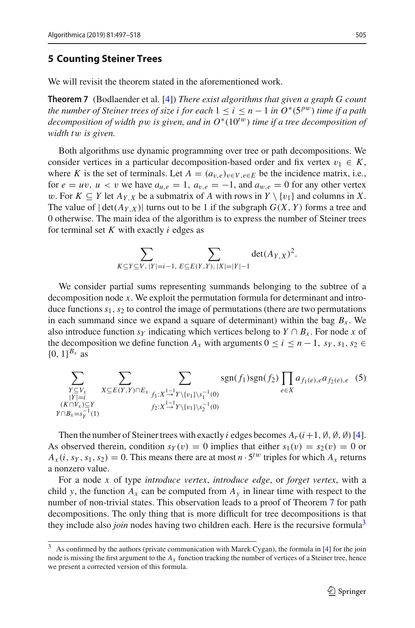#### <span id="page-8-0"></span>**5 Counting Steiner Trees**

<span id="page-8-1"></span>We will revisit the theorem stated in the aforementioned work.

**Theorem 7** (Bodlaender et al. [\[4](#page-21-3)]) *There exist algorithms that given a graph G count the number of Steiner trees of size i for each*  $1 \le i \le n - 1$  *in*  $O^*(5^{pw})$  *time if a path decomposition of width p*w *is given, and in O*∗(10*<sup>t</sup>*w) *time if a tree decomposition of width t*w *is given.*

Both algorithms use dynamic programming over tree or path decompositions. We consider vertices in a particular decomposition-based order and fix vertex  $v_1 \in K$ , where *K* is the set of terminals. Let  $A = (a_{v,e})_{v \in V, e \in E}$  be the incidence matrix, i.e., for  $e = uv$ ,  $u < v$  we have  $a_{u,e} = 1$ ,  $a_{v,e} = -1$ , and  $a_{w,e} = 0$  for any other vertex w. For  $K \subseteq Y$  let  $A_{Y,X}$  be a submatrix of A with rows in  $Y \setminus \{v_1\}$  and columns in X. The value of  $|\det(A_{Y,X})|$  turns out to be 1 if the subgraph  $G(X, Y)$  forms a tree and 0 otherwise. The main idea of the algorithm is to express the number of Steiner trees for terminal set *K* with exactly *i* edges as

<span id="page-8-3"></span>
$$
\sum_{K \subseteq Y \subseteq V, |Y|=i-1, E \subseteq E(Y,Y), |X|=|Y|-1} \det(A_{Y,X})^2.
$$

We consider partial sums representing summands belonging to the subtree of a decomposition node *x*. We exploit the permutation formula for determinant and introduce functions  $s_1$ ,  $s_2$  to control the image of permutations (there are two permutations in each summand since we expand a square of determinant) within the bag  $B_x$ . We also introduce function  $s_Y$  indicating which vertices belong to  $Y \cap B_x$ . For node x of the decomposition we define function  $A_x$  with arguments  $0 \le i \le n-1$ ,  $s_y$ ,  $s_1$ ,  $s_2 \in$  $\{0, 1\}^{B_x}$  as

$$
\sum_{\substack{Y \subseteq V_x \\ |Y| = i}} \sum_{\substack{X \subseteq E(Y,Y) \cap E_x \\ (K \cap V_x) \subseteq Y \\ Y \cap B_x = s_Y^{-1}(1)}} \sum_{\substack{X \subseteq E(Y,Y) \cap E_x \\ f_1: X \xrightarrow{1-\frac{1}{2}} Y \setminus \{v_1\} \setminus s_1^{-1}(0)}} sgn(f_1)sgn(f_2) \prod_{e \in X} a_{f_1(e),e} a_{f_2(e),e} \quad (5)
$$

Then the number of Steiner trees with exactly *i* edges becomes  $A_r(i+1, \emptyset, \emptyset, \emptyset)$  [\[4](#page-21-3)]. As observed therein, condition  $s_Y(v) = 0$  implies that either  $s_1(v) = s_2(v) = 0$  or  $A_x(i, s_y, s_1, s_2) = 0$ . This means there are at most  $n \cdot 5^{tw}$  triples for which  $A_x$  returns a nonzero value.

For a node *x* of type *introduce vertex*, *introduce edge*, or *forget vertex*, with a child *y*, the function  $A_x$  can be computed from  $A_y$  in linear time with respect to the number of non-trivial states. This observation leads to a proof of Theorem [7](#page-8-1) for path decompositions. The only thing that is more difficult for tree decompositions is that they include also *join* nodes having two children each. Here is the recursive formula<sup>3</sup>

<span id="page-8-2"></span><sup>3</sup> As confirmed by the authors (private communication with Marek Cygan), the formula in [\[4](#page-21-3)] for the join node is missing the first argument to the  $A<sub>x</sub>$  function tracking the number of vertices of a Steiner tree, hence we present a corrected version of this formula.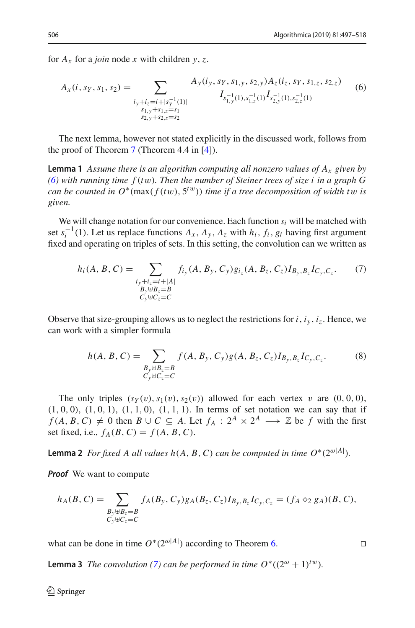for  $A_x$  for a *join* node *x* with children *y*, *z*.

<span id="page-9-0"></span>
$$
A_x(i, s_Y, s_1, s_2) = \sum_{\substack{i_y + i_z = i + |s_Y^{-1}(1)| \\ s_{1,y} + s_{1,z} = s_1 \\ s_{2,y} + s_{2,z} = s_2}} A_y(i_y, s_Y, s_{1,y}, s_{2,y}) A_z(i_z, s_Y, s_{1,z}, s_{2,z})
$$
(6)

<span id="page-9-4"></span>The next lemma, however not stated explicitly in the discussed work, follows from the proof of Theorem [7](#page-8-1) (Theorem 4.4 in [\[4](#page-21-3)]).

**Lemma 1** *Assume there is an algorithm computing all nonzero values of Ax given by [\(6\)](#page-9-0) with running time f* (*t*w)*. Then the number of Steiner trees of size i in a graph G can be counted in*  $O^*(\max(f(tw), 5^{tw}))$  *time if a tree decomposition of width tw is given.*

We will change notation for our convenience. Each function  $s_i$  will be matched with set  $s_i^{-1}(1)$ . Let us replace functions  $A_x$ ,  $A_y$ ,  $A_z$  with  $h_i$ ,  $f_i$ ,  $g_i$  having first argument fixed and operating on triples of sets. In this setting, the convolution can we written as

<span id="page-9-1"></span>
$$
h_i(A, B, C) = \sum_{\substack{i_y + i_z = i + |A| \\ B_y \uplus B_z = B \\ C_y \uplus C_z = C}} f_{i_y}(A, B_y, C_y) g_{i_z}(A, B_z, C_z) I_{B_y, B_z} I_{C_y, C_z}.
$$
 (7)

Observe that size-grouping allows us to neglect the restrictions for  $i$ ,  $i_y$ ,  $i_z$ . Hence, we can work with a simpler formula

<span id="page-9-2"></span>
$$
h(A, B, C) = \sum_{\substack{B_y \uplus B_z = B \\ C_y \uplus C_z = C}} f(A, B_y, C_y) g(A, B_z, C_z) I_{B_y, B_z} I_{C_y, C_z}.
$$
 (8)

The only triples  $(s_Y(v), s_1(v), s_2(v))$  allowed for each vertex v are  $(0, 0, 0)$ ,  $(1, 0, 0)$ ,  $(1, 0, 1)$ ,  $(1, 1, 0)$ ,  $(1, 1, 1)$ . In terms of set notation we can say that if *f* (*A*, *B*, *C*)  $\neq$  0 then *B* ∪ *C* ⊆ *A*. Let *f<sub>A</sub>* :  $2^A \times 2^A$  → Z be *f* with the first set fixed, i.e.,  $f_A(B, C) = f(A, B, C)$ .

<span id="page-9-3"></span>**Lemma 2** *For fixed A all values h*(*A*, *B*, *C*) *can be computed in time*  $O^*(2^{\omega|A|})$ *.* 

*Proof* We want to compute

$$
h_A(B, C) = \sum_{\substack{B_y \uplus B_z = B \\ C_y \uplus C_z = C}} f_A(B_y, C_y) g_A(B_z, C_z) I_{B_y, B_z} I_{C_y, C_z} = (f_A \otimes_2 g_A)(B, C),
$$

what can be done in time  $O^*(2^{\omega|A|})$  according to Theorem [6.](#page-7-0)

<span id="page-9-5"></span>**Lemma 3** *The convolution [\(7\)](#page-9-1) can be performed in time*  $O^*((2^{\omega} + 1)^{tw})$ *.* 

$$
\Box
$$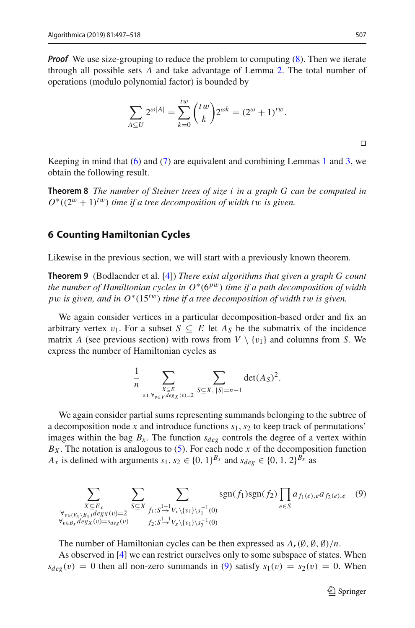*Proof* We use size-grouping to reduce the problem to computing  $(8)$ . Then we iterate through all possible sets *A* and take advantage of Lemma [2.](#page-9-3) The total number of operations (modulo polynomial factor) is bounded by

$$
\sum_{A \subseteq U} 2^{\omega|A|} = \sum_{k=0}^{tw} {tw \choose k} 2^{\omega k} = (2^{\omega} + 1)^{tw}.
$$

Keeping in mind that  $(6)$  and  $(7)$  are equivalent and combining Lemmas [1](#page-9-4) and [3,](#page-9-5) we obtain the following result.

**Theorem 8** *The number of Steiner trees of size i in a graph G can be computed in*  $O^*((2^{\omega}+1)^{tw})$  *time if a tree decomposition of width tw is given.* 

#### <span id="page-10-0"></span>**6 Counting Hamiltonian Cycles**

<span id="page-10-2"></span>Likewise in the previous section, we will start with a previously known theorem.

**Theorem 9** (Bodlaender et al. [\[4](#page-21-3)]) *There exist algorithms that given a graph G count the number of Hamiltonian cycles in*  $O<sup>*</sup>(6<sup>pw</sup>)$  *time if a path decomposition of width p*w *is given, and in O*∗(15*<sup>t</sup>*w) *time if a tree decomposition of width t*w *is given.*

We again consider vertices in a particular decomposition-based order and fix an arbitrary vertex  $v_1$ . For a subset  $S \subseteq E$  let  $A_S$  be the submatrix of the incidence matrix *A* (see previous section) with rows from  $V \setminus \{v_1\}$  and columns from *S*. We express the number of Hamiltonian cycles as

<span id="page-10-1"></span>
$$
\frac{1}{n} \sum_{\substack{X \subseteq E \\ \text{s.t. } \forall v \in V \deg X(v) = 2}} \sum_{S \subseteq X, |S| = n-1} \det(A_S)^2.
$$

We again consider partial sums representing summands belonging to the subtree of a decomposition node *x* and introduce functions *s*1,*s*<sup>2</sup> to keep track of permutations' images within the bag  $B_x$ . The function  $s_{\text{deg}}$  controls the degree of a vertex within  $B_X$ . The notation is analogous to [\(5\)](#page-8-3). For each node *x* of the decomposition function *A<sub>x</sub>* is defined with arguments  $s_1, s_2 \in \{0, 1\}^{B_x}$  and  $s_{deg} \in \{0, 1, 2\}^{B_x}$  as

$$
\sum_{\substack{X \subseteq E_x \\ \forall_{v \in (V_X \setminus B_x)} \deg_X(v) = 2}} \sum_{S \subseteq X} \sum_{\substack{f_1: S^{\frac{1}{\to 1}} V_x \setminus \{v_1\} \setminus s_1^{-1}(0) \\ f_2: S^{\frac{1}{\to 1}} V_x \setminus \{v_1\} \setminus s_2^{-1}(0)}} sgn(f_1) sgn(f_2) \prod_{e \in S} a_{f_1(e), e} a_{f_2(e), e} \quad (9)
$$

The number of Hamiltonian cycles can be then expressed as  $A_r(\emptyset, \emptyset, \emptyset)/n$ .

As observed in [\[4](#page-21-3)] we can restrict ourselves only to some subspace of states. When  $s_{\text{deg}}(v) = 0$  then all non-zero summands in [\(9\)](#page-10-1) satisfy  $s_1(v) = s_2(v) = 0$ . When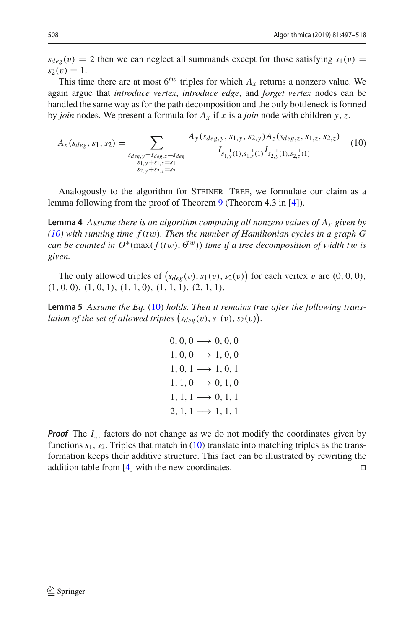$s_{deg}(v) = 2$  then we can neglect all summands except for those satisfying  $s_1(v) =$  $s_2(v) = 1.$ 

This time there are at most  $6^{tw}$  triples for which  $A_x$  returns a nonzero value. We again argue that *introduce vertex*, *introduce edge*, and *forget vertex* nodes can be handled the same way as for the path decomposition and the only bottleneck is formed by *join* nodes. We present a formula for *Ax* if *x* is a *join* node with children *y*,*z*.

<span id="page-11-0"></span>
$$
A_x(s_{deg}, s_1, s_2) = \sum_{\substack{s_{deg,y} + s_{deg,z} = s_{deg} \\ s_{1,y} + s_{1,z} = s_1 \\ s_{2,y} + s_{2,z} = s_2}} A_y(s_{deg,y}, s_{1,y}, s_{2,y}) A_z(s_{deg,z}, s_{1,z}, s_{2,z}) \tag{10}
$$

<span id="page-11-1"></span>Analogously to the algorithm for STEINER TREE, we formulate our claim as a lemma following from the proof of Theorem [9](#page-10-2) (Theorem 4.3 in [\[4\]](#page-21-3)).

**Lemma 4** *Assume there is an algorithm computing all nonzero values of Ax given by [\(10\)](#page-11-0) with running time f* (*t*w)*. Then the number of Hamiltonian cycles in a graph G can be counted in*  $O^*(\max(f(tw), \mathbf{6}^{tw}))$  *time if a tree decomposition of width tw is given.*

<span id="page-11-2"></span>The only allowed triples of  $(s_{deg}(v), s_1(v), s_2(v))$  for each vertex v are  $(0, 0, 0)$ ,  $(1, 0, 0), (1, 0, 1), (1, 1, 0), (1, 1, 1), (2, 1, 1).$ 

**Lemma 5** *Assume the Eq.* [\(10\)](#page-11-0) *holds. Then it remains true after the following trans*lation of the set of allowed triples  $(s_{deg}(v), s_1(v), s_2(v))$ .

> $0, 0, 0 \longrightarrow 0, 0, 0$  $1, 0, 0 \longrightarrow 1, 0, 0$  $1, 0, 1 \rightarrow 1, 0, 1$  $1, 1, 0 \rightarrow 0, 1, 0$  $1, 1, 1 \rightarrow 0, 1, 1$  $2, 1, 1 \rightarrow 1, 1, 1$

*Proof* The *I*<sub>.</sub>.. factors do not change as we do not modify the coordinates given by functions  $s_1$ ,  $s_2$ . Triples that match in [\(10\)](#page-11-0) translate into matching triples as the transformation keeps their additive structure. This fact can be illustrated by rewriting the addition table from  $\left[4\right]$  with the new coordinates.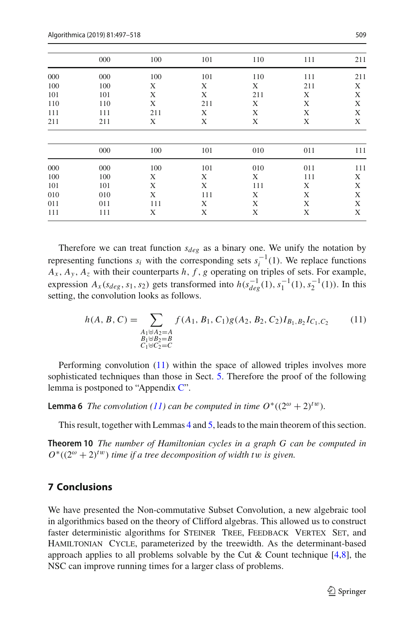| 000 | 100 | 101 | 110 | 111 | 211 |
|-----|-----|-----|-----|-----|-----|
| 000 | 100 | 101 | 110 | 111 | 211 |
| 100 | Χ   | X   | X   | 211 | Χ   |
| 101 | X   | X   | 211 | X   | X   |
| 110 | X   | 211 | X   | X   | X   |
| 111 | 211 | X   | X   | X   | X   |
| 211 | Χ   | Χ   | Χ   | Χ   | X   |
| 000 | 100 | 101 | 010 | 011 | 111 |
| 000 | 100 | 101 | 010 | 011 | 111 |
| 100 | Χ   | Χ   | X   | 111 | Χ   |
| 101 | X   | X   | 111 | Χ   | X   |
| 010 | X   | 111 | Χ   | Χ   | X   |
| 011 | 111 | X   | X   | X   | X   |
| 111 | X   | X   | X   |     | X   |
|     |     |     |     |     | X   |

Therefore we can treat function  $s_{\text{dee}}$  as a binary one. We unify the notation by representing functions  $s_i$  with the corresponding sets  $s_i^{-1}(1)$ . We replace functions  $A_x$ ,  $A_y$ ,  $A_z$  with their counterparts *h*, *f*, *g* operating on triples of sets. For example, expression  $A_x(s_{deg}, s_1, s_2)$  gets transformed into  $h(s_{deg}^{-1}(1), s_1^{-1}(1), s_2^{-1}(1))$ . In this setting, the convolution looks as follows.

<span id="page-12-0"></span>
$$
h(A, B, C) = \sum_{\substack{A_1 \uplus A_2 = A \\ B_1 \uplus B_2 = B \\ C_1 \uplus C_2 = C}} f(A_1, B_1, C_1) g(A_2, B_2, C_2) I_{B_1, B_2} I_{C_1, C_2}
$$
(11)

Performing convolution [\(11\)](#page-12-0) within the space of allowed triples involves more sophisticated techniques than those in Sect. [5.](#page-8-0) Therefore the proof of the following lemma is postponed to "Appendix [C"](#page-5-0).

<span id="page-12-1"></span>**Lemma 6** *The convolution* [\(11\)](#page-12-0) *can be computed in time*  $O^*((2^{\omega} + 2)^{tw})$ *.* 

This result, together with Lemmas [4](#page-11-1) and [5,](#page-11-2) leads to the main theorem of this section.

**Theorem 10** *The number of Hamiltonian cycles in a graph G can be computed in*  $O^*((2^{\omega}+2)^{tw})$  *time if a tree decomposition of width tw is given.* 

## **7 Conclusions**

We have presented the Non-commutative Subset Convolution, a new algebraic tool in algorithmics based on the theory of Clifford algebras. This allowed us to construct faster deterministic algorithms for STEINER TREE, FEEDBACK VERTEX SET, and Hamiltonian Cycle, parameterized by the treewidth. As the determinant-based approach applies to all problems solvable by the Cut & Count technique [\[4](#page-21-3)[,8\]](#page-21-1), the NSC can improve running times for a larger class of problems.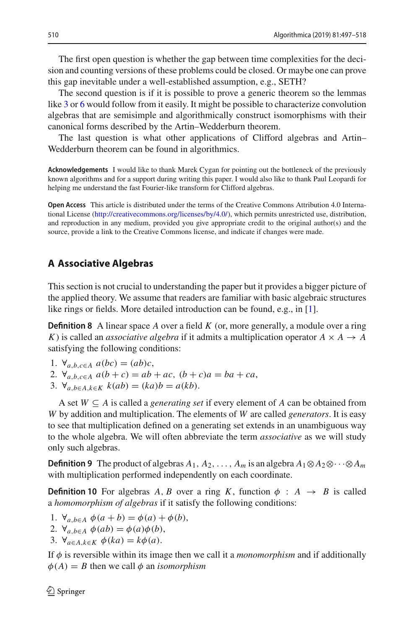The first open question is whether the gap between time complexities for the decision and counting versions of these problems could be closed. Or maybe one can prove this gap inevitable under a well-established assumption, e.g., SETH?

The second question is if it is possible to prove a generic theorem so the lemmas like [3](#page-9-5) or [6](#page-12-1) would follow from it easily. It might be possible to characterize convolution algebras that are semisimple and algorithmically construct isomorphisms with their canonical forms described by the Artin–Wedderburn theorem.

The last question is what other applications of Clifford algebras and Artin– Wedderburn theorem can be found in algorithmics.

**Acknowledgements** I would like to thank Marek Cygan for pointing out the bottleneck of the previously known algorithms and for a support during writing this paper. I would also like to thank Paul Leopardi for helping me understand the fast Fourier-like transform for Clifford algebras.

**Open Access** This article is distributed under the terms of the Creative Commons Attribution 4.0 International License [\(http://creativecommons.org/licenses/by/4.0/\)](http://creativecommons.org/licenses/by/4.0/), which permits unrestricted use, distribution, and reproduction in any medium, provided you give appropriate credit to the original author(s) and the source, provide a link to the Creative Commons license, and indicate if changes were made.

#### **A Associative Algebras**

This section is not crucial to understanding the paper but it provides a bigger picture of the applied theory. We assume that readers are familiar with basic algebraic structures like rings or fields. More detailed introduction can be found, e.g., in [\[1](#page-20-1)].

**Definition 8** A linear space A over a field K (or, more generally, a module over a ring *K*) is called an *associative algebra* if it admits a multiplication operator  $A \times A \rightarrow A$ satisfying the following conditions:

- 1.  $∀_{a,b,c∈A} a(bc) = (ab)c,$
- 2.  $\forall_{a,b,c \in A} a(b+c) = ab + ac$ ,  $(b+c)a = ba + ca$ ,
- 3.  $\forall_{a,b \in A, k \in K} k(ab) = (ka)b = a(kb).$

A set *W* ⊆ *A* is called a *generating set* if every element of *A* can be obtained from *W* by addition and multiplication. The elements of *W* are called *generators*. It is easy to see that multiplication defined on a generating set extends in an unambiguous way to the whole algebra. We will often abbreviate the term *associative* as we will study only such algebras.

<span id="page-13-1"></span>**Definition 9** The product of algebras  $A_1, A_2, \ldots, A_m$  is an algebra  $A_1 \otimes A_2 \otimes \cdots \otimes A_m$ with multiplication performed independently on each coordinate.

<span id="page-13-0"></span>**Definition 10** For algebras *A*, *B* over a ring *K*, function  $\phi$  :  $A \rightarrow B$  is called a *homomorphism of algebras* if it satisfy the following conditions:

- 1.  $\forall_{a,b\in A} \phi(a+b) = \phi(a) + \phi(b),$
- 2.  $\forall_{a}$ <sub>*b*∈*A*</sub>  $\phi(ab) = \phi(a)\phi(b)$ ,
- 3.  $\forall_{a \in A, k \in K} \phi(ka) = k\phi(a).$

If  $\phi$  is reversible within its image then we call it a *monomorphism* and if additionally  $\phi(A) = B$  then we call  $\phi$  an *isomorphism*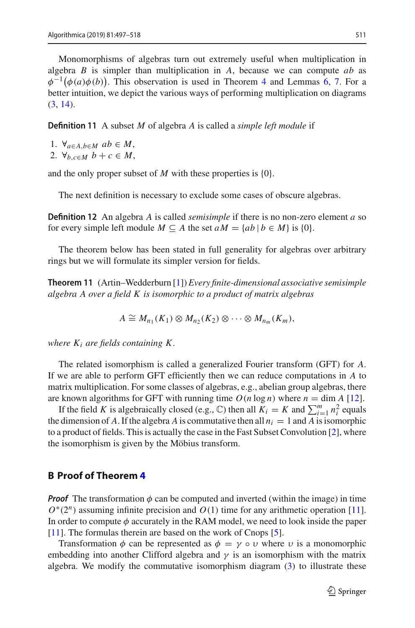Monomorphisms of algebras turn out extremely useful when multiplication in algebra *B* is simpler than multiplication in *A*, because we can compute *ab* as  $\phi^{-1}(\phi(a)\phi(b))$ . This observation is used in Theorem [4](#page-6-2) and Lemmas [6,](#page-12-1) [7.](#page-17-0) For a better intuition, we depict the various ways of performing multiplication on diagrams [\(3,](#page-5-3) [14\)](#page-17-1).

**Definition 11** A subset *M* of algebra *A* is called a *simple left module* if

- 1.  $\forall_{a \in A, b \in M} ab \in M$ ,
- 2.  $\forall_{b,c \in M} b + c \in M$ ,

and the only proper subset of *M* with these properties is {0}.

The next definition is necessary to exclude some cases of obscure algebras.

**Definition 12** An algebra *A* is called *semisimple* if there is no non-zero element *a* so for every simple left module  $M \subseteq A$  the set  $aM = \{ab \mid b \in M\}$  is  $\{0\}$ .

<span id="page-14-0"></span>The theorem below has been stated in full generality for algebras over arbitrary rings but we will formulate its simpler version for fields.

**Theorem 11** (Artin–Wedderburn [\[1](#page-20-1)]) *Every finite-dimensional associative semisimple algebra A over a field K is isomorphic to a product of matrix algebras*

$$
A \cong M_{n_1}(K_1) \otimes M_{n_2}(K_2) \otimes \cdots \otimes M_{n_m}(K_m),
$$

*where Ki are fields containing K .*

The related isomorphism is called a generalized Fourier transform (GFT) for *A*. If we are able to perform GFT efficiently then we can reduce computations in *A* to matrix multiplication. For some classes of algebras, e.g., abelian group algebras, there are known algorithms for GFT with running time  $O(n \log n)$  where  $n = \dim A$  [\[12\]](#page-21-11).

If the field *K* is algebraically closed (e.g.,  $\mathbb{C}$ ) then all  $K_i = K$  and  $\sum_{i=1}^{m} n_i^2$  equals the dimension of *A*. If the algebra *A* is commutative then all  $n<sub>i</sub> = 1$  and *A* is isomorphic to a product of fields. This is actually the case in the Fast Subset Convolution [\[2](#page-20-0)], where the isomorphism is given by the Möbius transform.

#### **B Proof of Theorem [4](#page-6-2)**

*Proof* The transformation  $\phi$  can be computed and inverted (within the image) in time *O*<sup>∗</sup>(2<sup>*n*</sup>) assuming infinite precision and *O*(1) time for any arithmetic operation [\[11](#page-21-6)]. In order to compute  $\phi$  accurately in the RAM model, we need to look inside the paper [\[11](#page-21-6)]. The formulas therein are based on the work of Cnops [\[5](#page-21-12)].

Transformation  $\phi$  can be represented as  $\phi = \gamma \circ \upsilon$  where  $\upsilon$  is a monomorphic embedding into another Clifford algebra and  $\gamma$  is an isomorphism with the matrix algebra. We modify the commutative isomorphism diagram [\(3\)](#page-5-3) to illustrate these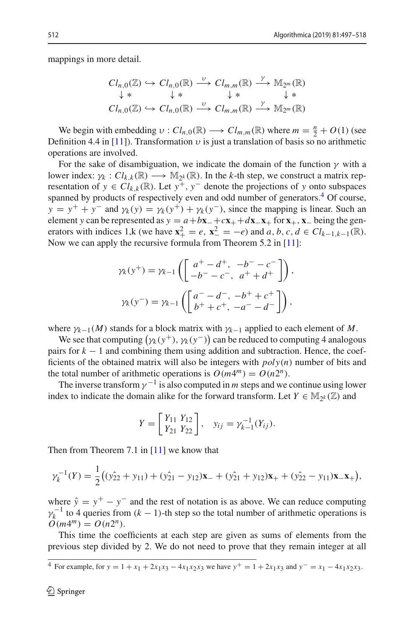mappings in more detail.

$$
Cl_{n,0}(\mathbb{Z}) \hookrightarrow Cl_{n,0}(\mathbb{R}) \xrightarrow{\upsilon} Cl_{m,m}(\mathbb{R}) \xrightarrow{\gamma} \mathbb{M}_{2^m}(\mathbb{R})
$$
  
\n
$$
\downarrow * \qquad \qquad \downarrow * \qquad \qquad \downarrow * \qquad \qquad \downarrow *
$$
  
\n
$$
Cl_{n,0}(\mathbb{Z}) \hookrightarrow Cl_{n,0}(\mathbb{R}) \xrightarrow{\upsilon} Cl_{m,m}(\mathbb{R}) \xrightarrow{\gamma} \mathbb{M}_{2^m}(\mathbb{R})
$$

We begin with embedding  $v : Cl_{n,0}(\mathbb{R}) \longrightarrow Cl_{m,m}(\mathbb{R})$  where  $m = \frac{n}{2} + O(1)$  (see Definition 4.4 in [\[11](#page-21-6)]). Transformation  $\nu$  is just a translation of basis so no arithmetic operations are involved.

For the sake of disambiguation, we indicate the domain of the function  $\gamma$  with a lower index:  $\gamma_k$ :  $Cl_{k,k}(\mathbb{R}) \longrightarrow \mathbb{M}_{2k}(\mathbb{R})$ . In the *k*-th step, we construct a matrix representation of  $y \in Cl_{k,k}(\mathbb{R})$ . Let  $y^+, y^-$  denote the projections of y onto subspaces spanned by products of respectively even and odd number of generators.<sup>4</sup> Of course,  $y = y^+ + y^-$  and  $\gamma_k(y) = \gamma_k(y^+) + \gamma_k(y^-)$ , since the mapping is linear. Such an element *y* can be represented as  $y = a + b\mathbf{x}_- + c\mathbf{x}_+ + d\mathbf{x}_-\mathbf{x}_+$  for  $\mathbf{x}_+$ ,  $\mathbf{x}_-$  being the generators with indices 1,k (we have  $\mathbf{x}_+^2 = e$ ,  $\mathbf{x}_-^2 = -e$ ) and *a*, *b*, *c*, *d* ∈ *Cl<sub>k−1,k−1*( $\mathbb{R}$ ).</sub> Now we can apply the recursive formula from Theorem 5.2 in [\[11](#page-21-6)]:

$$
\gamma_k(y^+) = \gamma_{k-1} \left( \begin{bmatrix} a^+ - d^+, & -b^- - c^- \\ -b^- - c^-, & a^+ + d^+ \end{bmatrix} \right),
$$

$$
\gamma_k(y^-) = \gamma_{k-1} \left( \begin{bmatrix} a^- - d^-, & -b^+ + c^+ \\ b^+ + c^+, & -a^- - d^- \end{bmatrix} \right),
$$

where  $\gamma_{k-1}(M)$  stands for a block matrix with  $\gamma_{k-1}$  applied to each element of M.

We see that computing  $(\gamma_k(y^+), \gamma_k(y^-))$  can be reduced to computing 4 analogous pairs for  $k - 1$  and combining them using addition and subtraction. Hence, the coefficients of the obtained matrix will also be integers with *poly*(*n*) number of bits and the total number of arithmetic operations is  $O(m4^m) = O(n2^n)$ .

The inverse transform  $\gamma^{-1}$  is also computed in *m* steps and we continue using lower index to indicate the domain alike for the forward transform. Let  $Y \in M_{2k}(\mathbb{Z})$  and

$$
Y = \begin{bmatrix} Y_{11} & Y_{12} \\ Y_{21} & Y_{22} \end{bmatrix}, \quad y_{ij} = \gamma_{k-1}^{-1}(Y_{ij}).
$$

Then from Theorem 7.1 in  $[11]$  $[11]$  we know that

$$
\gamma_k^{-1}(Y) = \frac{1}{2}((y_{22}^2 + y_{11}) + (y_{21}^2 - y_{12})\mathbf{x}_+ + (y_{21}^2 + y_{12})\mathbf{x}_+ + (y_{22}^2 - y_{11})\mathbf{x}_-\mathbf{x}_+),
$$

where  $\hat{y} = y^+ - y^-$  and the rest of notation is as above. We can reduce computing  $\gamma_k^{-1}$  to 4 queries from  $(k - 1)$ -th step so the total number of arithmetic operations is  $O(m4^m) = O(n2^n)$ .

This time the coefficients at each step are given as sums of elements from the previous step divided by 2. We do not need to prove that they remain integer at all

<span id="page-15-0"></span><sup>4</sup> For example, for  $y = 1 + x_1 + 2x_1x_3 - 4x_1x_2x_3$  we have  $y^+ = 1 + 2x_1x_3$  and  $y^- = x_1 - 4x_1x_2x_3$ .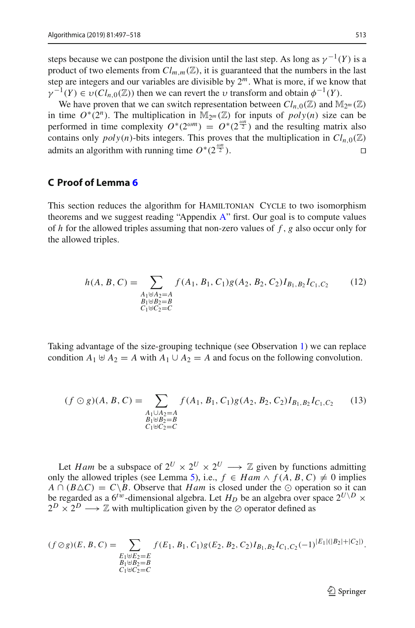steps because we can postpone the division until the last step. As long as  $\gamma^{-1}(Y)$  is a product of two elements from  $Cl_{m,m}(\mathbb{Z})$ , it is guaranteed that the numbers in the last step are integers and our variables are divisible by  $2<sup>m</sup>$ . What is more, if we know that  $\gamma^{-1}(Y) \in \nu(Cl_{n,0}(\mathbb{Z}))$  then we can revert the  $\nu$  transform and obtain  $\phi^{-1}(Y)$ .

We have proven that we can switch representation between  $Cl_{n,0}(\mathbb{Z})$  and  $\mathbb{M}_{2^m}(\mathbb{Z})$ in time  $O^*(2^n)$ . The multiplication in M<sub>2</sub><sup>*m*</sup> (Z) for inputs of *poly*(*n*) size can be performed in time complexity  $O^*(2^{\omega m}) = O^*(2^{\frac{\omega n}{2}})$  and the resulting matrix also contains only  $poly(n)$ -bits integers. This proves that the multiplication in  $Cl_{n,0}(\mathbb{Z})$ admits an algorithm with running time *O*∗(2 ω*n*  $\overline{2}$ ).

#### **C Proof of Lemma [6](#page-12-1)**

This section reduces the algorithm for HAMILTONIAN CYCLE to two isomorphism theorems and we suggest reading "Appendix [A"](#page-0-0) first. Our goal is to compute values of *h* for the allowed triples assuming that non-zero values of *f* , *g* also occur only for the allowed triples.

$$
h(A, B, C) = \sum_{\substack{A_1 \uplus A_2 = A \\ B_1 \uplus B_2 = B \\ C_1 \uplus C_2 = C}} f(A_1, B_1, C_1) g(A_2, B_2, C_2) I_{B_1, B_2} I_{C_1, C_2}
$$
(12)

Taking advantage of the size-grouping technique (see Observation [1\)](#page-6-4) we can replace condition  $A_1 \oplus A_2 = A$  with  $A_1 \cup A_2 = A$  and focus on the following convolution.

<span id="page-16-0"></span>
$$
(f \odot g)(A, B, C) = \sum_{\substack{A_1 \cup A_2 = A \\ B_1 \uplus B_2 = B \\ C_1 \uplus C_2 = C}} f(A_1, B_1, C_1) g(A_2, B_2, C_2) I_{B_1, B_2} I_{C_1, C_2}
$$
(13)

Let *Ham* be a subspace of  $2^U \times 2^U \times 2^U \longrightarrow \mathbb{Z}$  given by functions admitting only the allowed triples (see Lemma [5\)](#page-11-2), i.e.,  $f$  ∈ *Ham*  $\land$   $f$  (*A*, *B*, *C*)  $\neq$  0 implies  $A \cap (B \triangle C) = C \setminus B$ . Observe that *Ham* is closed under the  $\odot$  operation so it can be regarded as a  $6^{tw}$ -dimensional algebra. Let  $H_D$  be an algebra over space  $2^{U \setminus D} \times$  $2^D \times 2^D \longrightarrow \mathbb{Z}$  with multiplication given by the  $\oslash$  operator defined as

$$
(f \oslash g)(E, B, C) = \sum_{\substack{E_1 \uplus E_2 = E \\ B_1 \uplus B_2 = B \\ C_1 \uplus C_2 = C}} f(E_1, B_1, C_1) g(E_2, B_2, C_2) I_{B_1, B_2} I_{C_1, C_2}(-1)^{|E_1|(|B_2| + |C_2|)}.
$$

 $\mathcal{L}$  Springer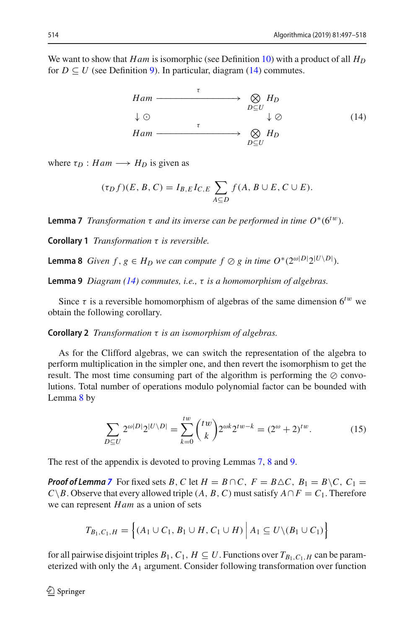We want to show that *Ham* is isomorphic (see Definition [10\)](#page-13-0) with a product of all  $H_D$ for  $D \subseteq U$  (see Definition [9\)](#page-13-1). In particular, diagram [\(14\)](#page-17-1) commutes.

<span id="page-17-1"></span>
$$
Ham \xrightarrow{\tau} \bigotimes_{D \subseteq U} H_D
$$
  
\n
$$
\downarrow \odot \qquad \qquad \downarrow \odot \qquad \qquad (14)
$$
  
\n
$$
Ham \xrightarrow{\tau} \bigotimes_{D \subseteq U} H_D
$$

where  $\tau_D : Ham \longrightarrow H_D$  is given as

$$
(\tau_D f)(E, B, C) = I_{B, E} I_{C, E} \sum_{A \subseteq D} f(A, B \cup E, C \cup E).
$$

<span id="page-17-0"></span>**Lemma 7** *Transformation*  $\tau$  *and its inverse can be performed in time*  $O^*(6^{tw})$ *.* 

<span id="page-17-2"></span>**Corollary 1** *Transformation* τ *is reversible.*

**Lemma 8** *Given*  $f$ ,  $g \in H_D$  *we can compute*  $f \oslash g$  *in time*  $O^*(2^{\omega|D|}2^{|U \setminus D|})$ *.* 

<span id="page-17-3"></span>**Lemma 9** *Diagram [\(14\)](#page-17-1) commutes, i.e.,* τ *is a homomorphism of algebras.*

Since  $\tau$  is a reversible homomorphism of algebras of the same dimension  $6^{tw}$  we obtain the following corollary.

**Corollary 2** *Transformation* τ *is an isomorphism of algebras.*

As for the Clifford algebras, we can switch the representation of the algebra to perform multiplication in the simpler one, and then revert the isomorphism to get the result. The most time consuming part of the algorithm is performing the  $\oslash$  convolutions. Total number of operations modulo polynomial factor can be bounded with Lemma [8](#page-17-2) by

$$
\sum_{D \subseteq U} 2^{\omega|D|} 2^{|U \setminus D|} = \sum_{k=0}^{tw} {tw \choose k} 2^{\omega k} 2^{tw-k} = (2^{\omega} + 2)^{tw}.
$$
 (15)

The rest of the appendix is devoted to proving Lemmas [7,](#page-17-0) [8](#page-17-2) and [9.](#page-17-3)

*Proof of Lemma* [7](#page-17-0) For fixed sets *B*, *C* let  $H = B \cap C$ ,  $F = B \triangle C$ ,  $B_1 = B \setminus C$ ,  $C_1 =$ *C* \times *B*. Observe that every allowed triple (*A*, *B*, *C*) must satisfy  $A ∩ F = C_1$ . Therefore we can represent *Ham* as a union of sets

$$
T_{B_1,C_1,H} = \left\{ (A_1 \cup C_1, B_1 \cup H, C_1 \cup H) \, \Big| \, A_1 \subseteq U \setminus (B_1 \cup C_1) \right\}
$$

for all pairwise disjoint triples  $B_1, C_1, H \subseteq U$ . Functions over  $T_{B_1, C_1, H}$  can be parameterized with only the *A*<sup>1</sup> argument. Consider following transformation over function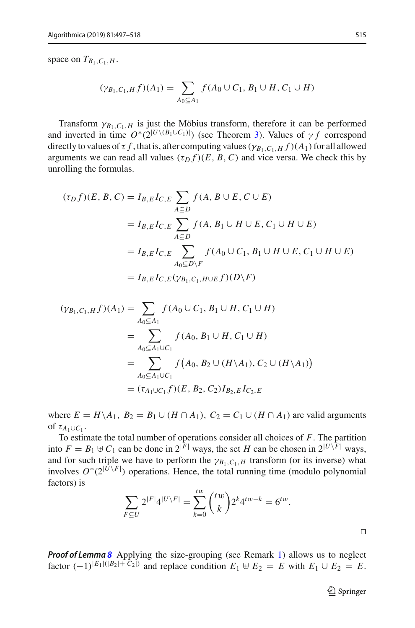space on  $T_{B_1, C_1, H}$ .

$$
(\gamma_{B_1,C_1,H} f)(A_1) = \sum_{A_0 \subseteq A_1} f(A_0 \cup C_1, B_1 \cup H, C_1 \cup H)
$$

Transform  $\gamma_{B_1,C_1,H}$  is just the Möbius transform, therefore it can be performed and inverted in time  $O^*(2^{|U \setminus (B_1 \cup C_1)|})$  (see Theorem [3\)](#page-3-3). Values of  $\gamma f$  correspond directly to values of  $\tau f$ , that is, after computing values ( $\gamma_{B_1,C_1,H} f$ )( $A_1$ ) for all allowed arguments we can read all values  $(\tau_D f)(E, B, C)$  and vice versa. We check this by unrolling the formulas.

$$
(\tau_D f)(E, B, C) = I_{B,E}I_{C,E} \sum_{A \subseteq D} f(A, B \cup E, C \cup E)
$$
  
=  $I_{B,E}I_{C,E} \sum_{A \subseteq D} f(A, B_1 \cup H \cup E, C_1 \cup H \cup E)$   
=  $I_{B,E}I_{C,E} \sum_{A_0 \subseteq D \setminus F} f(A_0 \cup C_1, B_1 \cup H \cup E, C_1 \cup H \cup E)$   
=  $I_{B,E}I_{C,E}(\gamma_{B_1,C_1,H \cup E}f)(D \setminus F)$ 

$$
(\gamma_{B_1,C_1,H}f)(A_1) = \sum_{A_0 \subseteq A_1} f(A_0 \cup C_1, B_1 \cup H, C_1 \cup H)
$$
  
= 
$$
\sum_{A_0 \subseteq A_1 \cup C_1} f(A_0, B_1 \cup H, C_1 \cup H)
$$
  
= 
$$
\sum_{A_0 \subseteq A_1 \cup C_1} f(A_0, B_2 \cup (H \setminus A_1), C_2 \cup (H \setminus A_1))
$$
  
= 
$$
(\tau_{A_1 \cup C_1}f)(E, B_2, C_2)I_{B_2,E}I_{C_2,E}
$$

where  $E = H \setminus A_1$ ,  $B_2 = B_1 \cup (H \cap A_1)$ ,  $C_2 = C_1 \cup (H \cap A_1)$  are valid arguments of  $\tau_{A_1 \cup C_1}$ .

To estimate the total number of operations consider all choices of *F*. The partition into  $F = B_1 \oplus C_1$  can be done in  $2^{|\mathbf{F}|}$  ways, the set *H* can be chosen in  $2^{|U \setminus F|}$  ways, and for such triple we have to perform the  $\gamma_{B_1,C_1,H}$  transform (or its inverse) what involves  $O^*(2^{|U \setminus F|})$  operations. Hence, the total running time (modulo polynomial factors) is

$$
\sum_{F \subseteq U} 2^{|F|} 4^{|U \setminus F|} = \sum_{k=0}^{iw} {iw \choose k} 2^k 4^{iw-k} = 6^{iw}.
$$

*Proof of Lemma [8](#page-17-2)* Applying the size-grouping (see Remark [1\)](#page-6-4) allows us to neglect factor  $(-1)^{|E_1|(|B_2|+|C_2|)}$  and replace condition  $E_1 \oplus E_2 = E$  with  $E_1 \cup E_2 = E$ .

 $\Box$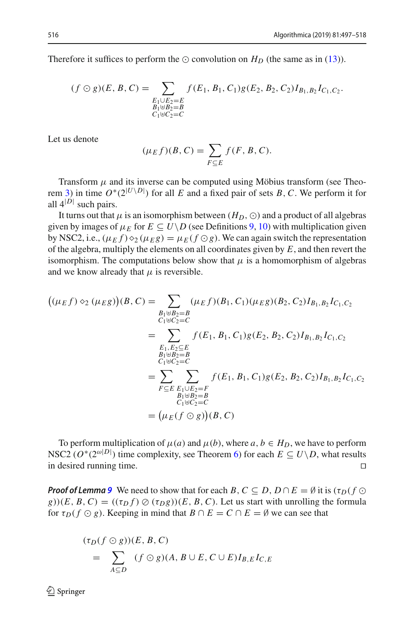Therefore it suffices to perform the  $\odot$  convolution on  $H_D$  (the same as in [\(13\)](#page-16-0)).

$$
(f \odot g)(E, B, C) = \sum_{\substack{E_1 \cup E_2 = E \\ B_1 \uplus B_2 = B \\ C_1 \uplus C_2 = C}} f(E_1, B_1, C_1) g(E_2, B_2, C_2) I_{B_1, B_2} I_{C_1, C_2}.
$$

Let us denote

$$
(\mu_E f)(B, C) = \sum_{F \subseteq E} f(F, B, C).
$$

Transform  $\mu$  and its inverse can be computed using Möbius transform (see Theo-rem [3\)](#page-3-3) in time  $O^*(2^{|U \setminus D|})$  for all *E* and a fixed pair of sets *B*, *C*. We perform it for all  $4^{|D|}$  such pairs.

It turns out that  $\mu$  is an isomorphism between  $(H_D, \odot)$  and a product of all algebras given by images of  $\mu_E$  for  $E \subseteq U \setminus D$  (see Definitions [9,](#page-13-1) [10\)](#page-13-0) with multiplication given by NSC2, i.e.,  $(\mu_E f) \diamond_2 (\mu_E g) = \mu_E (f \odot g)$ . We can again switch the representation of the algebra, multiply the elements on all coordinates given by *E*, and then revert the isomorphism. The computations below show that  $\mu$  is a homomorphism of algebras and we know already that  $\mu$  is reversible.

$$
((\mu_E f) \diamond_2 (\mu_E g))(B, C) = \sum_{\substack{B_1 \uplus B_2 = B \\ C_1 \uplus C_2 = C}} (\mu_E f)(B_1, C_1)(\mu_E g)(B_2, C_2)I_{B_1, B_2}I_{C_1, C_2}
$$
  
\n
$$
= \sum_{\substack{E_1, E_2 \subseteq E \\ B_1 \uplus B_2 = B \\ C_1 \uplus C_2 = C}} f(E_1, B_1, C_1)g(E_2, B_2, C_2)I_{B_1, B_2}I_{C_1, C_2}
$$
  
\n
$$
= \sum_{\substack{F \subseteq E \\ B_1 \uplus B_2 = B \\ C_1 \uplus C_2 = C}} f(E_1, B_1, C_1)g(E_2, B_2, C_2)I_{B_1, B_2}I_{C_1, C_2}
$$
  
\n
$$
= (\mu_E(f \odot g))(B, C)
$$

To perform multiplication of  $\mu(a)$  and  $\mu(b)$ , where  $a, b \in H_D$ , we have to perform NSC2 ( $O^*(2^{\omega|D|})$  time complexity, see Theorem [6\)](#page-7-0) for each  $E \subseteq U \setminus D$ , what results in desired running time.

*Proof of Lemma* [9](#page-17-3) We need to show that for each *B*,  $C \subseteq D$ ,  $D \cap E = \emptyset$  it is  $(\tau_D(f \odot$  $g(x)$ )(*E*, *B*, *C*) = (( $\tau_D f$ )  $\oslash$  ( $\tau_D g$ ))(*E*, *B*, *C*). Let us start with unrolling the formula for  $\tau_D$ ( $f \odot g$ ). Keeping in mind that  $B \cap E = C \cap E = \emptyset$  we can see that

$$
(\tau_D(f \odot g))(E, B, C)
$$
  
= 
$$
\sum_{A \subseteq D} (f \odot g)(A, B \cup E, C \cup E)I_{B,E}I_{C,E}
$$

 $\textcircled{2}$  Springer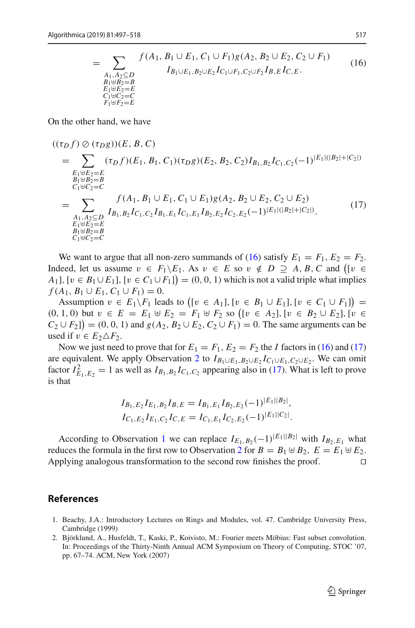<span id="page-20-3"></span><span id="page-20-2"></span>
$$
= \sum_{\substack{A_1, A_2 \subseteq D \\ B_1 \oplus B_2 = B \\ E_1 \oplus E_2 = E \\ C_1 \oplus C_2 = C \\ F_1 \oplus F_2 = E}} \frac{f(A_1, B_1 \cup E_1, C_1 \cup F_1)g(A_2, B_2 \cup E_2, C_2 \cup F_1)}{I_{B_1 \cup E_1, B_2 \cup E_2} I_{C_1 \cup F_1, C_2 \cup F_2} I_{B, E} I_{C, E}}.
$$
\n(16)

On the other hand, we have

$$
((\tau_D f) \oslash (\tau_D g))(E, B, C)
$$
\n
$$
= \sum_{\substack{E_1 \uplus E_2 = E \\ B_1 \uplus B_2 = B \\ C_1 \uplus C_2 = C}} (\tau_D f)(E_1, B_1, C_1)(\tau_D g)(E_2, B_2, C_2)I_{B_1, B_2}I_{C_1, C_2}(-1)^{|E_1|(|B_2| + |C_2|)}
$$
\n
$$
= \sum_{\substack{A_1, A_2 \subseteq D \\ A_1 \uplus B_2 = B \\ E_1 \uplus E_2 = E \\ B_1 \uplus B_2 = B \\ C_1 \uplus C_2 = C}} f(A_1, B_1 \cup E_1, C_1 \cup E_1)g(A_2, B_2 \cup E_2, C_2 \cup E_2)
$$
\n
$$
(17)
$$

We want to argue that all non-zero summands of [\(16\)](#page-20-2) satisfy  $E_1 = F_1, E_2 = F_2$ . Indeed, let us assume  $v \in F_1 \setminus E_1$ . As  $v \in E$  so  $v \notin D \supseteq A$ , B, C and ([v  $\in$ *A*<sub>1</sub>], [*v* ∈ *B*<sub>1</sub> ∪ *E*<sub>1</sub>], [*v* ∈ *C*<sub>1</sub> ∪ *F*<sub>1</sub>]) = (0, 0, 1) which is not a valid triple what implies *f* (*A*<sub>1</sub>, *B*<sub>1</sub> ∪ *E*<sub>1</sub>, *C*<sub>1</sub> ∪ *F*<sub>1</sub>) = 0.

Assumption  $v \in E_1 \backslash F_1$  leads to  $([v \in A_1], [v \in B_1 \cup E_1], [v \in C_1 \cup F_1])$  $(0, 1, 0)$  but  $v \in E = E_1 \oplus E_2 = F_1 \oplus F_2$  so  $([v \in A_2], [v \in B_2 \cup E_2], [v \in B_1]$  $C_2 \cup F_2$ ]) = (0, 0, 1) and  $g(A_2, B_2 \cup E_2, C_2 \cup F_1) = 0$ . The same arguments can be used if  $v \in E_2 \triangle F_2$ .

Now we just need to prove that for  $E_1 = F_1$ ,  $E_2 = F_2$  the *I* factors in [\(16\)](#page-20-2) and [\(17\)](#page-20-3) are equivalent. We apply Observation [2](#page-3-2) to  $I_{B_1 \cup E_1, B_2 \cup E_2} I_{C_1 \cup E_1, C_2 \cup E_2}$ . We can omit factor  $I_{E_1,E_2}^2 = 1$  as well as  $I_{B_1,B_2}I_{C_1,C_2}$  appearing also in [\(17\)](#page-20-3). What is left to prove is that

$$
I_{B_1,E_2}I_{E_1,B_2}I_{B,E} = I_{B_1,E_1}I_{B_2,E_2}(-1)^{|E_1||B_2|},
$$
  
\n
$$
I_{C_1,E_2}I_{E_1,C_2}I_{C,E} = I_{C_1,E_1}I_{C_2,E_2}(-1)^{|E_1||C_2|}.
$$

According to Observation [1](#page-3-4) we can replace  $I_{E_1,B_2}(-1)^{|E_1||B_2|}$  with  $I_{B_2,E_1}$  what reduces the formula in the first row to Observation [2](#page-3-2) for  $B = B_1 \oplus B_2$ ,  $E = E_1 \oplus E_2$ .<br>Applying analogous transformation to the second row finishes the proof Applying analogous transformation to the second row finishes the proof.

#### **References**

- <span id="page-20-1"></span>1. Beachy, J.A.: Introductory Lectures on Rings and Modules, vol. 47. Cambridge University Press, Cambridge (1999)
- <span id="page-20-0"></span>2. Björklund, A., Husfeldt, T., Kaski, P., Koivisto, M.: Fourier meets Möbius: Fast subset convolution. In: Proceedings of the Thirty-Ninth Annual ACM Symposium on Theory of Computing, STOC '07, pp. 67–74. ACM, New York (2007)